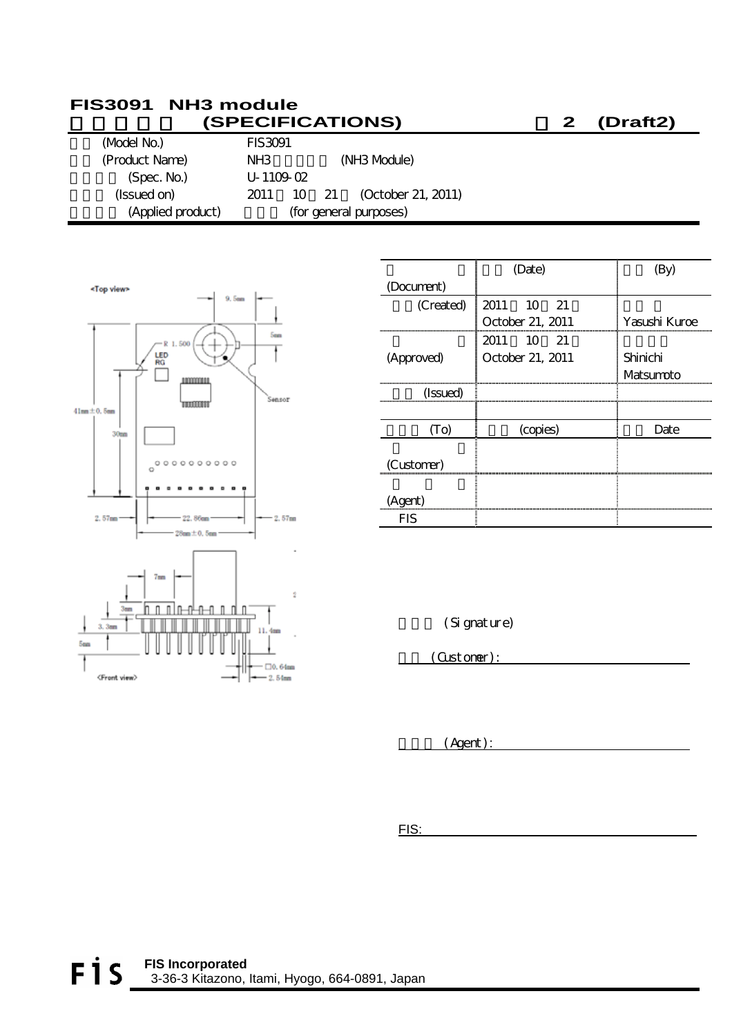#### **FIS3091 NH3 module**  納入仕様書 **(SPECIFICATIONS)** 案 **2 (Draft2)**

| (Model No.)       | <b>FIS3091</b>  |               |                          |
|-------------------|-----------------|---------------|--------------------------|
| (Product Name)    | NH <sub>3</sub> |               | (NH <sub>3</sub> Mbdule) |
| (Spec. No.)       | $U - 1109 - 02$ |               |                          |
| (Issued on)       | 2011            | $10 \quad 21$ | (October 21, 2011)       |
| (Applied product) |                 |               | (for general purposes)   |



|            | (Date)           |               |
|------------|------------------|---------------|
| (Document) |                  |               |
| (Created)  | 2011 10 21       |               |
|            | October 21, 2011 | Yasushi Kuroe |
|            | 2011 10 21       |               |
| (Approved) | October 21, 2011 | Shinichi      |
|            |                  | Matsumpto     |
| (Issued)   |                  |               |
|            |                  |               |
| To)        | (copies)         | Date          |
|            |                  |               |
| (Customer) |                  |               |
|            |                  |               |
| (Agent)    |                  |               |
| FIS        |                  |               |

(Signature)

(Customer):

 $(Agent):$ 

FIS: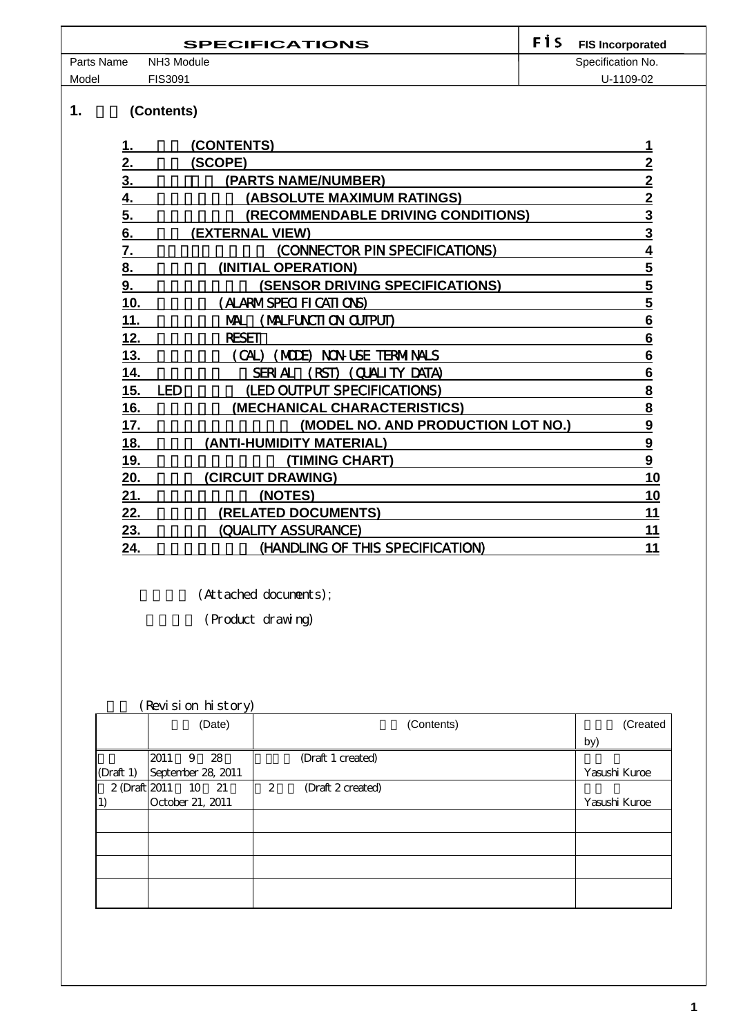|            | <b>SPECIFICATIONS</b> | <b>F</b> is | <b>FIS Incorporated</b> |
|------------|-----------------------|-------------|-------------------------|
| Parts Name | NH3 Module            |             | Specification No.       |
| Model      | FIS3091               |             | U-1109-02               |

### 1. **(Contents)**

| (CONTENTS)                                     |                         |
|------------------------------------------------|-------------------------|
| (SCOPE)                                        | $\mathbf 2$             |
| (PARTS NAME/NUMBER)                            | $\overline{2}$          |
| (ABSOLUTE MAXIMUM RATINGS)                     | $\overline{2}$          |
| <b>(RECOMMENDABLE DRIVING CONDITIONS)</b>      | $\overline{3}$          |
| (EXTERNAL VIEW)                                | $\overline{3}$          |
| (CONNECTOR PIN SPECIFICATIONS)                 | 4                       |
| (INITIAL OPERATION)                            | $\overline{\mathbf{5}}$ |
| <b>(SENSOR DRIVING SPECIFICATIONS)</b>         | $\overline{\mathbf{5}}$ |
| (ALARMSPECIFICATIONS)                          | $\overline{\mathbf{5}}$ |
| (MALFUNCTION CUTPUT)<br>ML.                    | $6\phantom{1}6$         |
| <b>RESET</b>                                   | 6                       |
| NON-USE TERNINALS<br>(CAL)<br>(MDF).           | 6                       |
| (CUALITY DATA)<br><b>SERIAL</b><br><b>RST)</b> | 6                       |
| (LED OUTPUT SPECIFICATIONS)<br><b>LED</b>      | 8                       |
| (MECHANICAL CHARACTERISTICS)                   | $\overline{\mathbf{8}}$ |
| (MODEL NO. AND PRODUCTION LOT NO.)             | 9                       |
| (ANTI-HUMIDITY MATERIAL)                       | $\overline{9}$          |
| (TIMING CHART)                                 | 9                       |
| (CIRCUIT DRAWING)                              | 10                      |
| (NOTES)                                        | 10                      |
| (RELATED DOCUMENTS)                            | 11                      |
| (QUALITY ASSURANCE)                            | 11                      |
| (HANDLING OF THIS SPECIFICATION)               | 11                      |
|                                                |                         |

(Attached documents);

(Product drawing)

#### 履歴 (Revision history)

|                      | $\checkmark$<br>(Date) | (Contents)             | (Created      |
|----------------------|------------------------|------------------------|---------------|
|                      |                        |                        | by)           |
|                      | 2011 9 28              | (Draft 1 created)      |               |
| $(D \text{raft } 1)$ | September 28, 2011     |                        | Yasushi Kuroe |
|                      | 2 (Draft 2011 10 21    | (Draft 2 created)<br>2 |               |
| 1)                   | October 21, 2011       |                        | Yasushi Kuroe |
|                      |                        |                        |               |
|                      |                        |                        |               |
|                      |                        |                        |               |
|                      |                        |                        |               |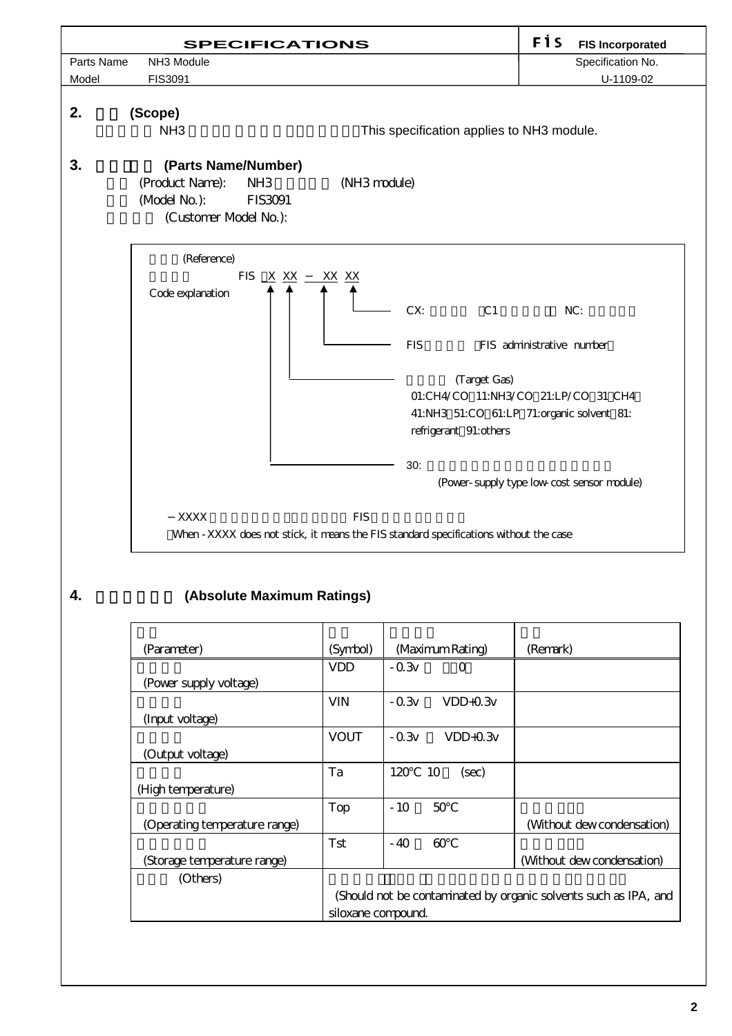

#### **4.** *Absolute Maximum Ratings*

| (Parameter)                   | (Symbol)                                                         | (Maximum Rating)      | (Remark)                   |  |
|-------------------------------|------------------------------------------------------------------|-----------------------|----------------------------|--|
|                               | <b>VDD</b>                                                       | $-0.3v$<br>$\Omega$   |                            |  |
| (Power supply voltage)        |                                                                  |                       |                            |  |
|                               | <b>VIN</b>                                                       | $-0.3v$<br>$VDD+0.3v$ |                            |  |
| (Input voltage)               |                                                                  |                       |                            |  |
|                               | <b>VOUT</b>                                                      | $-0.3v$<br>$VDD+0.3v$ |                            |  |
| (Output voltage)              |                                                                  |                       |                            |  |
|                               | Ta                                                               | 120<br>10<br>(sec)    |                            |  |
| (High temperature)            |                                                                  |                       |                            |  |
|                               | Top                                                              | $-10$<br>50           |                            |  |
| (Operating temperature range) |                                                                  |                       | (Without dew condensation) |  |
|                               | Tst                                                              | $-40$<br>60           |                            |  |
| (Storage temperature range)   |                                                                  |                       | (Without dew condensation) |  |
| (Others)                      |                                                                  |                       |                            |  |
|                               | (Should not be contaminated by organic solvents such as IPA, and |                       |                            |  |
|                               | siloxane compound.                                               |                       |                            |  |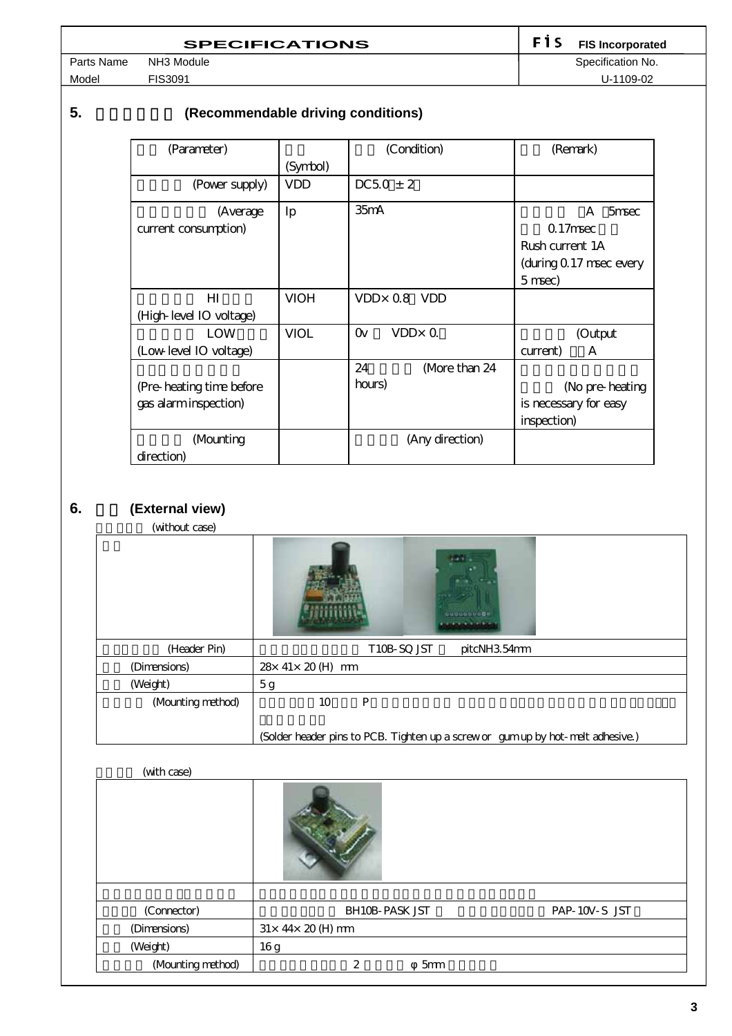| <b>SPECIFICATIONS</b> | <b>F1S</b> FIS Incorporated |
|-----------------------|-----------------------------|
| NH3 Module            | Specification No.           |

Model FIS3091 U-1109-02

Parts Name NH3 Module Specification No.

## **5. (Recommendable driving conditions)**

| (Parameter)               |             | (Condition)                | (Remark)                 |
|---------------------------|-------------|----------------------------|--------------------------|
|                           | (Symbol)    |                            |                          |
| (Power supply)            | <b>VDD</b>  | $DC50 \pm 2$               |                          |
| (Average                  | Ip          | $35m$ A                    | $\mathsf{A}$<br>$5$ msec |
| current consumption)      |             |                            | $0.17$ msec              |
|                           |             |                            | Rush current. 1A         |
|                           |             |                            | (during 0.17 msec every  |
|                           |             |                            | $5$ msec)                |
| HI                        | <b>VIOH</b> | $VDD \times 0.8$ VDD       |                          |
| (High-level IO voltage)   |             |                            |                          |
| LOW                       | VIOL        | $VDD \times Q$<br>$\alpha$ | (Output                  |
| (Low level IO voltage)    |             |                            | A<br>current)            |
|                           |             | 24<br>More than 24         |                          |
| (Pre-heating time before) |             | hours)                     | (No pre-heating          |
| gas alarminspection)      |             |                            | is necessary for easy    |
|                           |             |                            | inspection)              |
| (Mounting                 |             | (Any direction)            |                          |
| direction)                |             |                            |                          |

# **6.** (External view)

(without case)

| (                 | 0000000000                                                                       |
|-------------------|----------------------------------------------------------------------------------|
| (Header Pin)      | T10B-SQ JST<br>pitcNH354mm                                                       |
| (Dimensions)      | 28 x 41 x 20 (H) mm                                                              |
| (Weight)          | 5g                                                                               |
| (Mounting method) | 10<br>P                                                                          |
|                   | (Solder header pins to PCB. Tighten up a screw or gum up by hot- melt adhesive.) |

#### (with case)

| (Connector)       | <b>BH10B-PASK JST</b>         | PAP-10V-S JST |
|-------------------|-------------------------------|---------------|
| (Dimensions)      | $31\times 44\times 20$ (H) mm |               |
| (Weight)          | 16g                           |               |
| (Mounting method) | 2<br>5 <sub>mm</sub>          |               |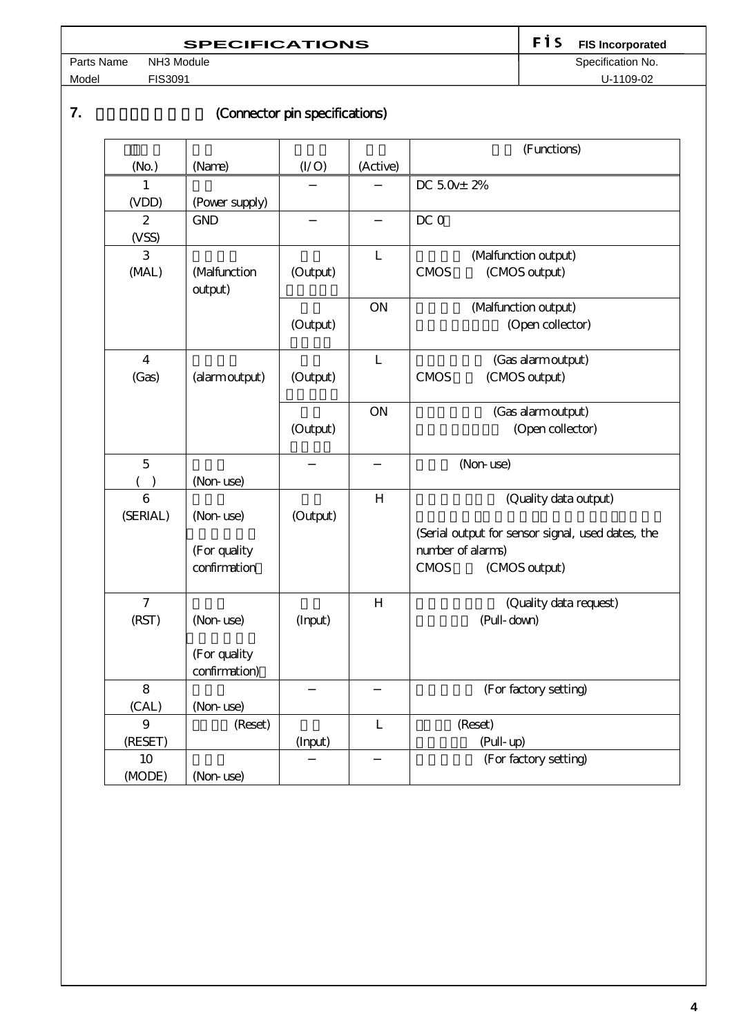# **SPECIFICATIONS**<br> **RH3** Module<br> **RH3** Module<br> **Specification No.**

Model FIS3091 U-1109-02

Parts Name NH3 Module Specification No.

### **7. Connector pin specifications**)

|                   |                         |          |                | (Functions)                                       |  |
|-------------------|-------------------------|----------|----------------|---------------------------------------------------|--|
| (N <sub>O</sub> ) | (Name)                  | (I/O)    | (Active)       |                                                   |  |
| 1                 |                         |          |                | DC $5.0x \pm 2\%$                                 |  |
| (VDD)             | (Power supply)          |          |                |                                                   |  |
| 2                 | <b>GND</b>              |          |                | DC 0                                              |  |
| (VSS)             |                         |          |                |                                                   |  |
| 3                 |                         |          | $\mathbf{L}$   | (Malfunction output)                              |  |
| (MAL)             | (Malfunction<br>output) | (Output) |                | (CMOS output)<br><b>CMOS</b>                      |  |
|                   |                         |          | <b>ON</b>      | (Malfunction output)                              |  |
|                   |                         | (Output) |                | (Open collector)                                  |  |
| 4                 |                         |          | $\mathbf{L}$   | (Gas alarmoutput)                                 |  |
| (Gas)             | (alarm output)          | (Output) |                | (CMOS output)<br><b>CMOS</b>                      |  |
|                   |                         |          | <b>ON</b>      | (Gas alarmoutput)                                 |  |
|                   |                         | (Output) |                | (Open collector)                                  |  |
| $\overline{5}$    |                         |          |                | (Non-use)                                         |  |
|                   | (Non-use)               |          |                |                                                   |  |
| 6                 |                         |          | H              | (Quality data output)                             |  |
| (SERIAL)          | (Non-use)               | (Output) |                |                                                   |  |
|                   |                         |          |                | (Serial output for sensor signal, used dates, the |  |
|                   | (For quality            |          |                | number of alarms)                                 |  |
|                   | confirmation            |          |                | <b>CMOS</b><br>(CMOS output)                      |  |
| $\overline{7}$    |                         |          | H              | (Quality data request)                            |  |
| (RST)             | (Non-use)               | (Input)  |                | (Pull-down)                                       |  |
|                   | (For quality            |          |                |                                                   |  |
|                   | confirmation)           |          |                |                                                   |  |
| 8                 |                         |          |                | (For factory setting)                             |  |
| (CAL)             | (Non-use)               |          |                |                                                   |  |
| 9                 | (Reset)                 |          | $\overline{L}$ | (Reset)                                           |  |
| (RESET)           |                         | (Input)  |                | (Pull-up)                                         |  |
| 10                |                         |          |                | (For factory setting)                             |  |
| (MODE)            | (Non-use)               |          |                |                                                   |  |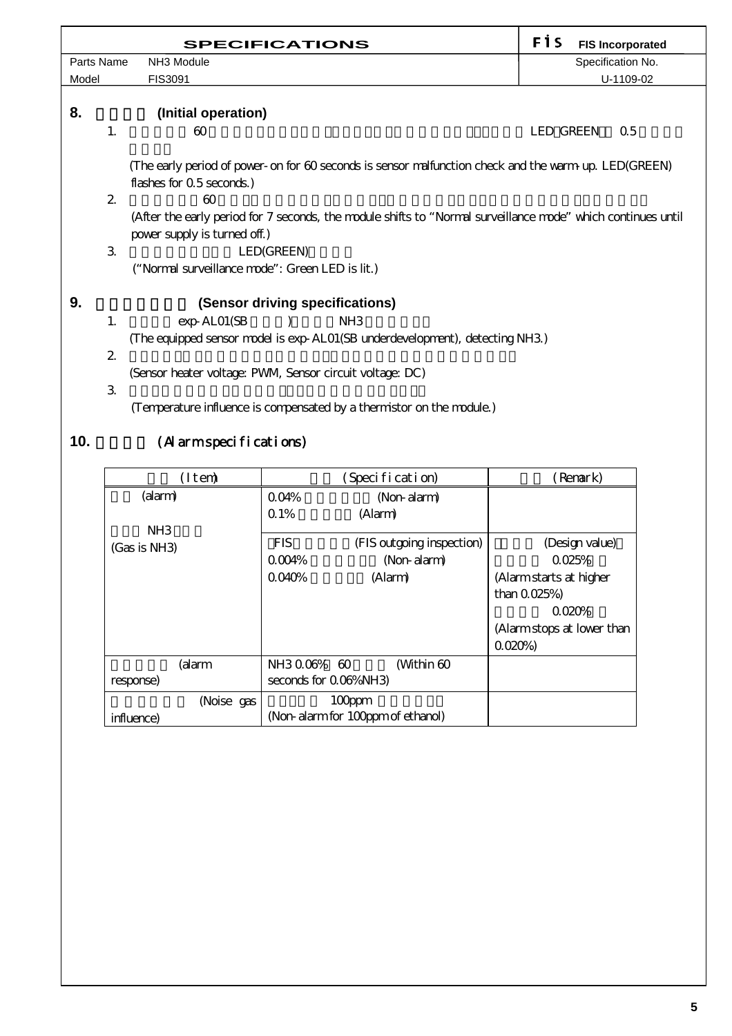|                                                                                                                                                                    |                             | <b>SPECIFICATIONS</b>                                                                                                                | FİS<br><b>FIS Incorporated</b> |
|--------------------------------------------------------------------------------------------------------------------------------------------------------------------|-----------------------------|--------------------------------------------------------------------------------------------------------------------------------------|--------------------------------|
| Parts Name                                                                                                                                                         |                             | NH3 Module                                                                                                                           | Specification No.              |
| Model                                                                                                                                                              |                             | FIS3091                                                                                                                              | U-1109-02                      |
| 8.                                                                                                                                                                 |                             | (Initial operation)                                                                                                                  |                                |
|                                                                                                                                                                    | 1.                          | 60                                                                                                                                   | <b>LED GREEN</b><br>0.5        |
|                                                                                                                                                                    |                             | (The early period of power- on for 60 seconds is sensor malfunction check and the warm up. LED(GREEN)<br>flashes for $0.5$ seconds.) |                                |
| $\mathbf{2}$<br>60<br>(After the early period for 7 seconds, the module shifts to "Normal surveillance mode" which continues until<br>power supply is turned off.) |                             |                                                                                                                                      |                                |
|                                                                                                                                                                    | $\mathcal{S}_{\mathcal{S}}$ | LED(GREEN)                                                                                                                           |                                |
| ("Normal surveillance mode": Green LED is lit.)                                                                                                                    |                             |                                                                                                                                      |                                |
| 9.<br>(Sensor driving specifications)                                                                                                                              |                             |                                                                                                                                      |                                |
|                                                                                                                                                                    | 1.                          | NH <sub>3</sub><br>exp-ALO1(SB                                                                                                       |                                |
|                                                                                                                                                                    |                             | (The equipped sensor model is exp-AL01(SB underdevelopment), detecting NH3)                                                          |                                |
|                                                                                                                                                                    | $\mathbf{2}$                |                                                                                                                                      |                                |
|                                                                                                                                                                    |                             | (Sensor heater voltage: PWM, Sensor circuit voltage: DC)                                                                             |                                |
|                                                                                                                                                                    | $\mathfrak{B}$              |                                                                                                                                      |                                |
|                                                                                                                                                                    |                             | (Temperature influence is compensated by a thermistor on the module.)                                                                |                                |
| 10.                                                                                                                                                                |                             | (Alarmspecifications)                                                                                                                |                                |

| (Item)                 | (Specification)                         | Renark)                   |
|------------------------|-----------------------------------------|---------------------------|
| (alarm)                | 0.04%<br>(Non-alarm)                    |                           |
|                        | $\Omega$ 1%<br>(Alarm)                  |                           |
| NH3                    |                                         |                           |
| $(Gas \text{ is NH3})$ | <b>FIS</b><br>(FIS outgoing inspection) | (Design value)            |
|                        | 0.004%<br>(Non-alarm)                   | 0.025%                    |
|                        | 0.040%<br>(Alarm)                       | (Alarmstarts at higher    |
|                        |                                         | than $0.025%$             |
|                        |                                         | 0.020%                    |
|                        |                                         | (Alarmstops at lower than |
|                        |                                         | 0.020%                    |
| (alarm                 | NH3006% 60<br>(Within 60                |                           |
| response)              | seconds for 0.06%NH3                    |                           |
| (Noise gas             | $100$ ppm                               |                           |
| influence)             | (Non-alarm for 100ppm of ethanol)       |                           |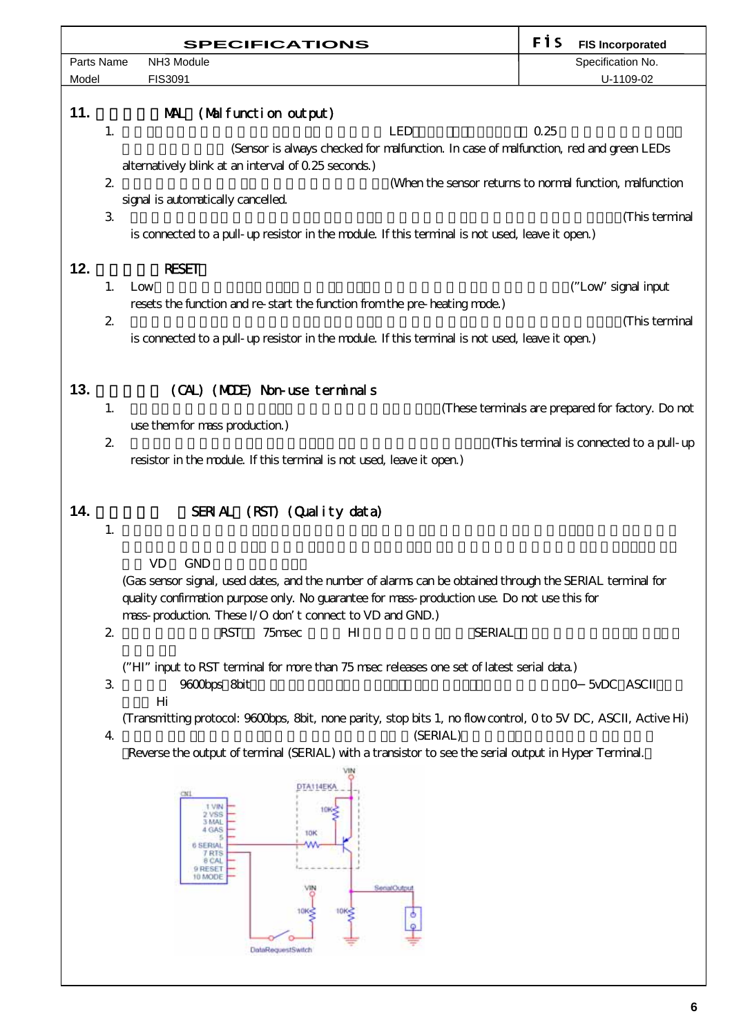| <b>SPECIFICATIONS</b> |                               |                                                                                                                                                                                                                                                                                                                                                                                                               | FİS  | <b>FIS Incorporated</b>                           |
|-----------------------|-------------------------------|---------------------------------------------------------------------------------------------------------------------------------------------------------------------------------------------------------------------------------------------------------------------------------------------------------------------------------------------------------------------------------------------------------------|------|---------------------------------------------------|
|                       | Parts Name<br>NH3 Module      |                                                                                                                                                                                                                                                                                                                                                                                                               |      | Specification No.                                 |
| Model                 |                               | FIS3091                                                                                                                                                                                                                                                                                                                                                                                                       |      | U-1109-02                                         |
| 11.<br>12.            | 1.<br>$2\,$<br>$\mathcal{S}$  | MAL (Mal function output)<br><b>LED</b><br>(Sensor is always checked for malfunction. In case of malfunction, red and green LEDs<br>alternatively blink at an interval of 0.25 seconds.)<br>(When the sensor returns to normal function, malfunction<br>signal is automatically cancelled.<br>is connected to a pull- up resistor in the module. If this terminal is not used, leave it open)<br><b>RESET</b> | 0.25 | (This terminal                                    |
|                       | 1.                            | Low                                                                                                                                                                                                                                                                                                                                                                                                           |      | ("Low" signal input                               |
|                       |                               | resets the function and re-start the function from the pre-heating mode.)                                                                                                                                                                                                                                                                                                                                     |      |                                                   |
|                       | $\mathbf{z}$                  |                                                                                                                                                                                                                                                                                                                                                                                                               |      | (This terminal                                    |
|                       |                               | is connected to a pull- up resistor in the module. If this terminal is not used, leave it open)                                                                                                                                                                                                                                                                                                               |      |                                                   |
|                       |                               |                                                                                                                                                                                                                                                                                                                                                                                                               |      |                                                   |
| 13.                   |                               | (CAL) (MODE) Non-use terminals                                                                                                                                                                                                                                                                                                                                                                                |      |                                                   |
|                       | 1.                            |                                                                                                                                                                                                                                                                                                                                                                                                               |      | (These terminals are prepared for factory. Do not |
|                       |                               | use them for mass production)                                                                                                                                                                                                                                                                                                                                                                                 |      |                                                   |
|                       | $\mathbf{z}$                  |                                                                                                                                                                                                                                                                                                                                                                                                               |      | (This terminal is connected to a pull-up          |
|                       |                               | resistor in the module. If this terminal is not used, leave it open.)                                                                                                                                                                                                                                                                                                                                         |      |                                                   |
| 14.                   | 1.                            | SERIAL (RST) (Quality data)                                                                                                                                                                                                                                                                                                                                                                                   |      |                                                   |
|                       |                               | <b>GND</b><br>VD.<br>(Gas sensor signal, used dates, and the number of alarms can be obtained through the SERIAL terminal for                                                                                                                                                                                                                                                                                 |      |                                                   |
|                       |                               | quality confirmation purpose only. No guarantee for mass-production use. Do not use this for                                                                                                                                                                                                                                                                                                                  |      |                                                   |
|                       |                               | mass-production. These I/O don t connect to VD and GND.)                                                                                                                                                                                                                                                                                                                                                      |      |                                                   |
|                       | $\mathbf{2}% ^{2}/\mathbf{2}$ | <b>RST</b><br>H <sub>I</sub><br><b>SERIAL</b><br>75msec                                                                                                                                                                                                                                                                                                                                                       |      |                                                   |
|                       |                               |                                                                                                                                                                                                                                                                                                                                                                                                               |      |                                                   |
|                       | $\mathfrak{Z}$                | ("HI" input to RST terminal for more than 75 msec releases one set of latest serial data.)<br>9600bps 8bit                                                                                                                                                                                                                                                                                                    |      | 5vDC ASCII<br>$\overline{O}$                      |
|                       |                               | Hi                                                                                                                                                                                                                                                                                                                                                                                                            |      |                                                   |
|                       |                               | (Transmitting protocol: 9600bps, 8bit, none parity, stop bits 1, no flow control, 0 to 5V DC, ASCII, Active Hi)                                                                                                                                                                                                                                                                                               |      |                                                   |
|                       | $\overline{4}$                | (SERIAL)<br>Reverse the output of terminal (SERIAL) with a transistor to see the serial output in Hyper Terminal.                                                                                                                                                                                                                                                                                             |      |                                                   |
|                       |                               |                                                                                                                                                                                                                                                                                                                                                                                                               |      |                                                   |
|                       |                               | DTA114EKA<br>2 VSS<br>3 MAL<br>4 GAS<br>10K<br>6 SERIAL<br>/ RTS<br>8 CAL<br>9 RESET<br>10 MODE<br>SenatOutput<br>DataRequestSwitch                                                                                                                                                                                                                                                                           |      |                                                   |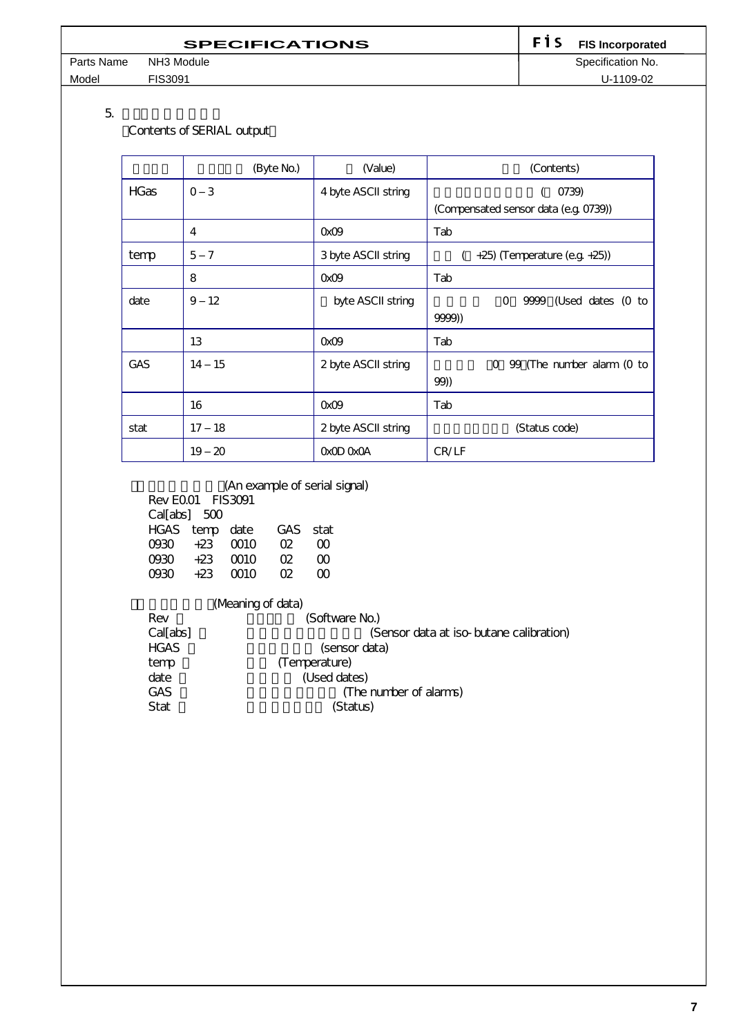| <b>SPECIFICATIONS</b> |            |  | <b>F</b> 1 S FIS Incorporated |
|-----------------------|------------|--|-------------------------------|
| Parts Name            | NH3 Module |  | Specification No.             |
| Model                 | FIS3091    |  | U-1109-02                     |

 $5.$ 

(Contents of SERIAL output)

|             | (Byte No.)                | (Value)             | (Contents)                                     |
|-------------|---------------------------|---------------------|------------------------------------------------|
| <b>HGas</b> | $\overline{3}$<br>$\circ$ | 4 byte ASCII string | 0739)<br>(Compensated sensor data (e.g. 0739)) |
|             | 4                         | OxO9                | Tab                                            |
| temp        | 5<br>$\overline{7}$       | 3 byte ASCII string | $(-+25)$ (Temperature (e.g. $+25$ ))           |
|             | 8                         | OxO9                | Tab                                            |
| date        | $12 \overline{ }$<br>9    | byte ASCII string   | 9999 (Used dates (O to<br>O                    |
|             |                           |                     | 9999))                                         |
|             | 13                        | OxO9                | Tab                                            |
| GAS         | - 15<br>14                | 2 byte ASCII string | 99 (The number alarm (0 to<br>$\Omega$         |
|             |                           |                     | 99))                                           |
|             | 16                        | OxO9                | Tab                                            |
| stat        | 18<br>17                  | 2 byte ASCII string | (Status code)                                  |
|             | 19<br>20                  | OxOD OxOA           | CR/LF                                          |

(An example of serial signal)

| Rev FOO1 FIS3091 |                |      |              |   |  |
|------------------|----------------|------|--------------|---|--|
| Cal[abs] 500     |                |      |              |   |  |
|                  | HGAS temp date |      | GAS stat     |   |  |
|                  | $0930 +23000$  |      | $\Omega$     | ന |  |
| റാരാ             | $+23$          | ന്നറ | <sub>m</sub> | ന |  |
| ന്ദുറ            | $+23$          | m o  | œ            | ന |  |

# (Meaning of data)

| Rev         | (Software No.)                          |
|-------------|-----------------------------------------|
| Cal[abs]    | (Sensor data at iso-butane calibration) |
| <b>HGAS</b> | (sensor data)                           |
| temp        | (Temperature)                           |
| date        | (Used dates)                            |
| <b>GAS</b>  | (The number of alarms)                  |
| Stat        | (Status)                                |
|             |                                         |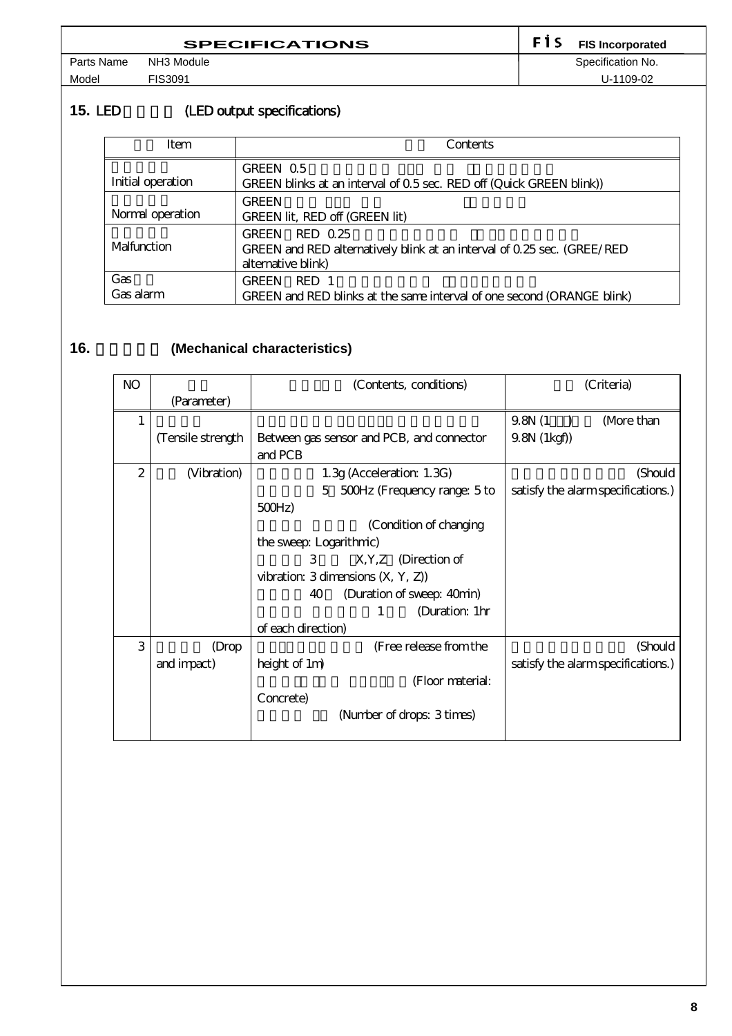| <b>SPECIFICATIONS</b> |            |  | <b>FIS Incorporated</b> |
|-----------------------|------------|--|-------------------------|
| Parts Name            | NH3 Module |  | Specification No.       |
| Model                 | FIS3091    |  | U-1109-02               |

15. LED (LED output specifications)

| Item              | Contents                                                                                                                  |
|-------------------|---------------------------------------------------------------------------------------------------------------------------|
| Initial operation | GREEN 0.5<br>GREEN blinks at an interval of 0.5 sec. RED off (Quick GREEN blink))                                         |
| Normal operation  | <b>GREEN</b><br>GREEN lit, RED off (GREEN lit)                                                                            |
| Malfunction       | RED 0.25<br><b>GREEN</b><br>GREEN and RED alternatively blink at an interval of 0.25 sec. (GREE/RED<br>alternative blink) |
| Gas<br>Gas alarm  | <b>GREEN</b><br>RED 1<br>GREEN and RED blinks at the same interval of one second (ORANGE blink)                           |

# 16. **(Mechanical characteristics)**

| NO           |                   | (Contents, conditions)                               | (Criteria)                         |
|--------------|-------------------|------------------------------------------------------|------------------------------------|
|              | (Parameter)       |                                                      |                                    |
| 1            |                   |                                                      | 9.8N(1)<br>(More than              |
|              | (Tensile strength | Between gas sensor and PCB, and connector<br>and PCB | $9.8N$ $(1kgf)$                    |
| $\mathbf{2}$ | (Vibration)       | $1.3g$ (Acceleration: $1.3G$ )                       | (Should                            |
|              |                   | 5 500Hz (Frequency range: 5 to                       | satisfy the alarm specifications.) |
|              |                   | 500Hz                                                |                                    |
|              |                   | (Condition of changing                               |                                    |
|              |                   | the sweep: Logarithmic)                              |                                    |
|              |                   | 3<br>$X, Y, Z$ (Direction of                         |                                    |
|              |                   | vibration: $3$ dimensions $(X, Y, Z)$                |                                    |
|              |                   | (Duration of sweep: 40min)<br>40                     |                                    |
|              |                   | (Duration: 1hr<br>1                                  |                                    |
|              |                   | of each direction)                                   |                                    |
| 3            | (Drop             | (Free release from the                               | (Should                            |
|              | and impact)       | height of 1m)                                        | satisfy the alarm specifications.) |
|              |                   | (Floor material:                                     |                                    |
|              |                   | Concrete)                                            |                                    |
|              |                   | (Number of drops: 3 times)                           |                                    |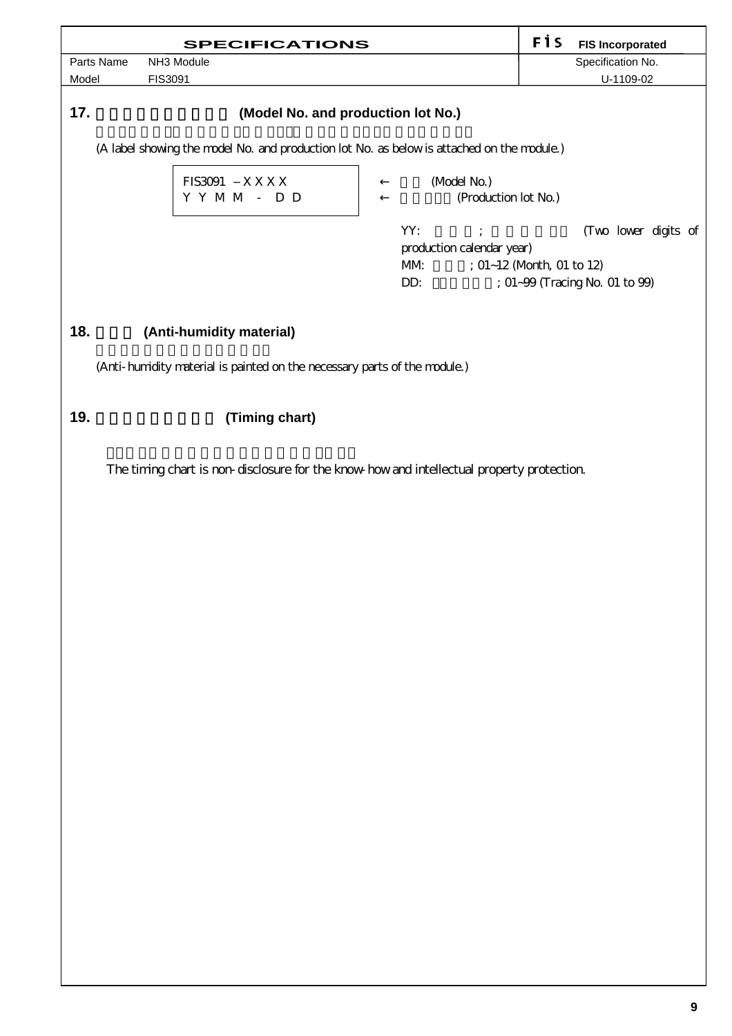| <b>SPECIFICATIONS</b>                                                                      | FİS<br><b>FIS Incorporated</b>        |  |  |  |  |
|--------------------------------------------------------------------------------------------|---------------------------------------|--|--|--|--|
| Parts Name<br>NH3 Module                                                                   | Specification No.                     |  |  |  |  |
| Model<br>FIS3091                                                                           | U-1109-02                             |  |  |  |  |
| 17.<br>(Model No. and production lot No.)                                                  |                                       |  |  |  |  |
| (A label showing the model No. and production lot No. as below is attached on the module.) |                                       |  |  |  |  |
| <b>FIS3091</b><br>XXXX                                                                     | (Model No.)                           |  |  |  |  |
| Y Y M M - D D                                                                              | (Production lot No.)                  |  |  |  |  |
|                                                                                            | YY:<br>(Two lower digits of           |  |  |  |  |
|                                                                                            | production calendar year)             |  |  |  |  |
|                                                                                            | ; 01~12 (Month, 01 to 12)<br>MM       |  |  |  |  |
|                                                                                            | DD:<br>; 01~99 (Tracing No. 01 to 99) |  |  |  |  |
|                                                                                            |                                       |  |  |  |  |
| 18.<br>(Anti-humidity material)                                                            |                                       |  |  |  |  |
| (Anti-humidity material is painted on the necessary parts of the module.)                  |                                       |  |  |  |  |
|                                                                                            |                                       |  |  |  |  |
| 19.<br>(Timing chart)                                                                      |                                       |  |  |  |  |
| The timing chart is non-disclosure for the know-how and intellectual property protection.  |                                       |  |  |  |  |
|                                                                                            |                                       |  |  |  |  |
|                                                                                            |                                       |  |  |  |  |
|                                                                                            |                                       |  |  |  |  |
|                                                                                            |                                       |  |  |  |  |
|                                                                                            |                                       |  |  |  |  |
|                                                                                            |                                       |  |  |  |  |
|                                                                                            |                                       |  |  |  |  |
|                                                                                            |                                       |  |  |  |  |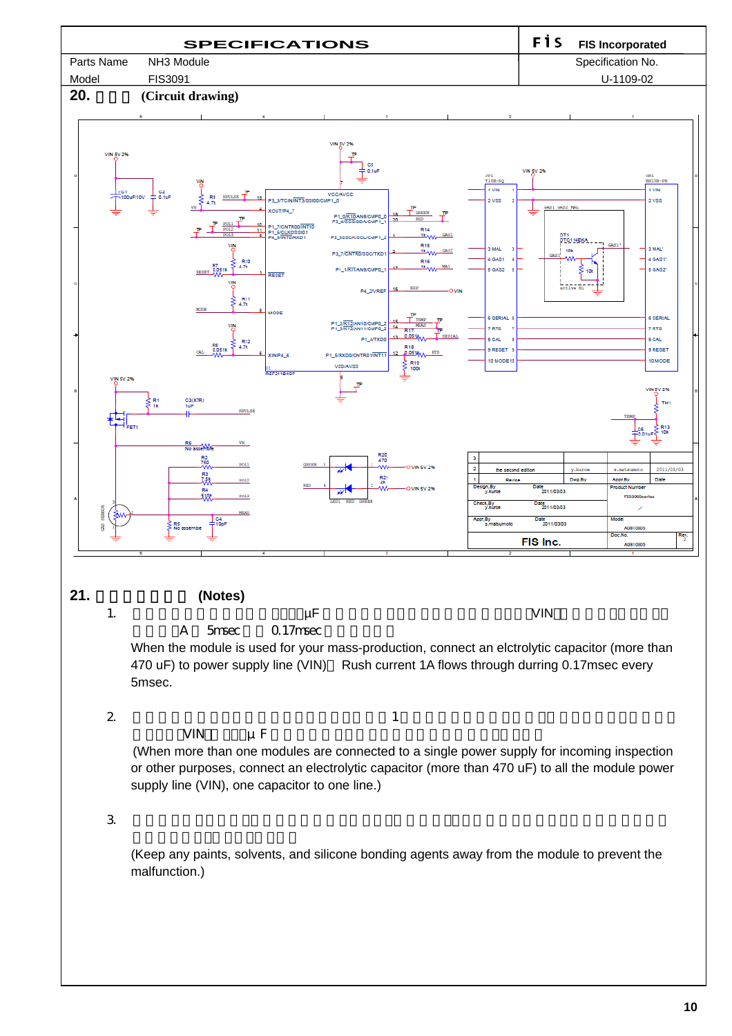

**10**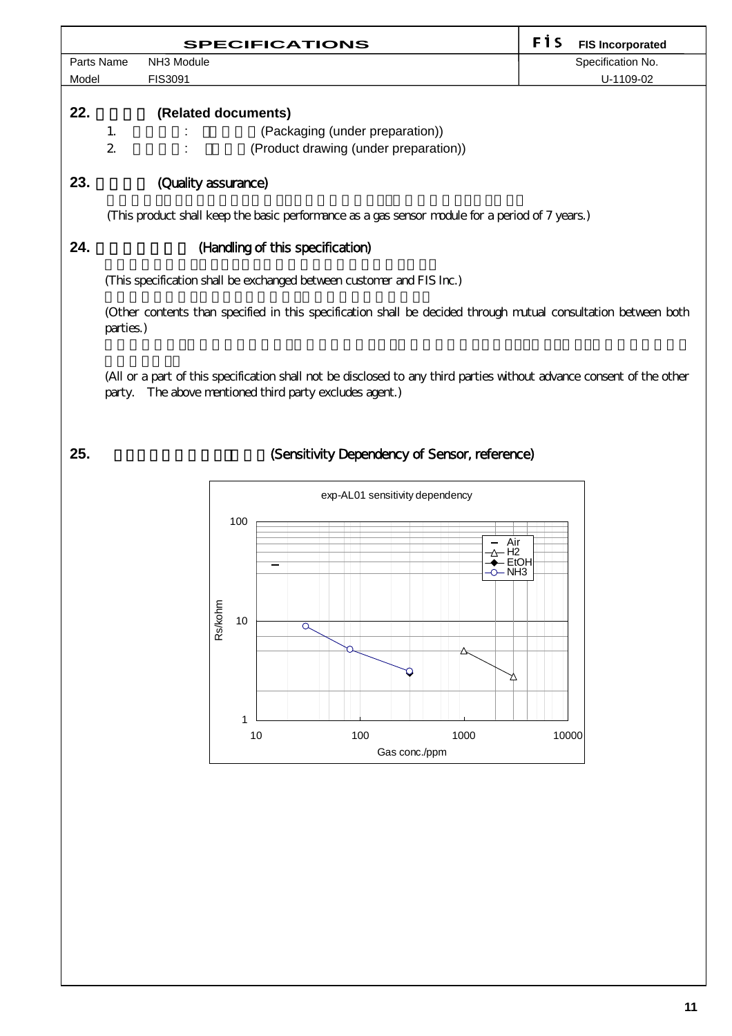|       |                                                                                                                             | <b>SPECIFICATIONS</b>                 | FİS<br><b>FIS Incorporated</b> |  |
|-------|-----------------------------------------------------------------------------------------------------------------------------|---------------------------------------|--------------------------------|--|
|       | Parts Name                                                                                                                  | NH <sub>3</sub> Module                | Specification No.              |  |
| Model |                                                                                                                             | <b>FIS3091</b>                        | U-1109-02                      |  |
| 22.   |                                                                                                                             | (Related documents)                   |                                |  |
|       |                                                                                                                             | (Packaging (under preparation))       |                                |  |
|       | $\mathbf{2}$                                                                                                                | (Product drawing (under preparation)) |                                |  |
| 23.   | (Quality assurance)<br>(This product shall keep the basic performance as a gas sensor module for a period of 7 years.)      |                                       |                                |  |
| 24.   | (Handling of this specification)                                                                                            |                                       |                                |  |
|       | (This specification shall be exchanged between customer and FIS Inc.)                                                       |                                       |                                |  |
|       | (Other contents than specified in this specification shall be decided through mutual consultation between both<br>parties.) |                                       |                                |  |

(All or a part of this specification shall not be disclosed to any third parties without advance consent of the other party. The above mentioned third party excludes agent.)



## 25. **25. Considering Sensitivity Dependency of Sensor, reference)**

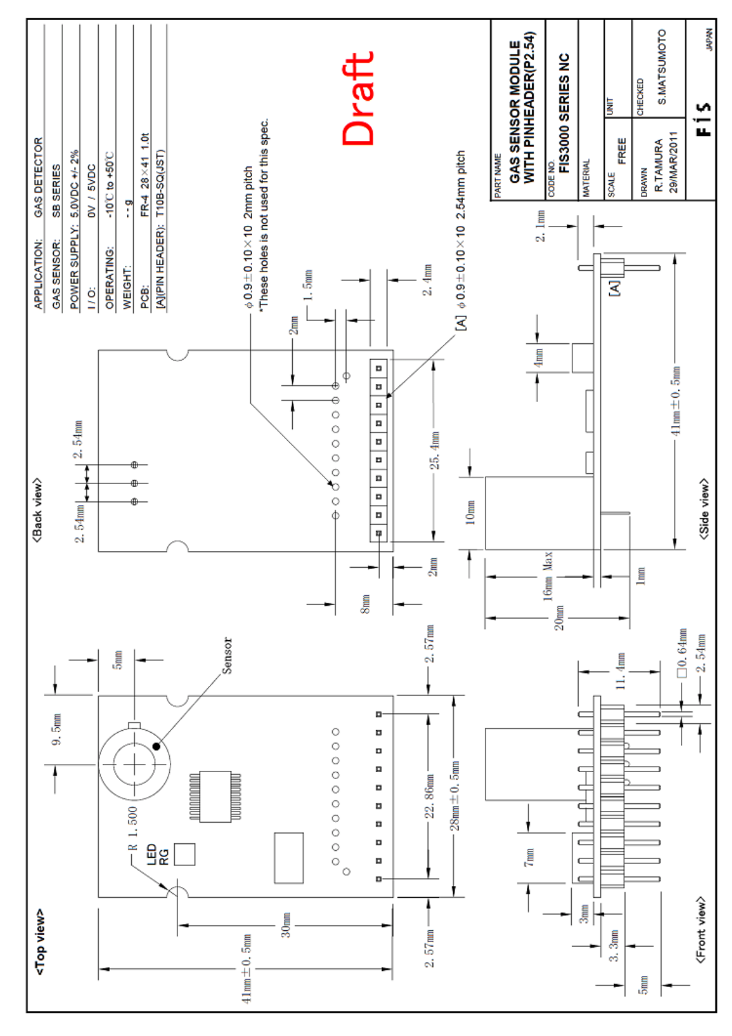